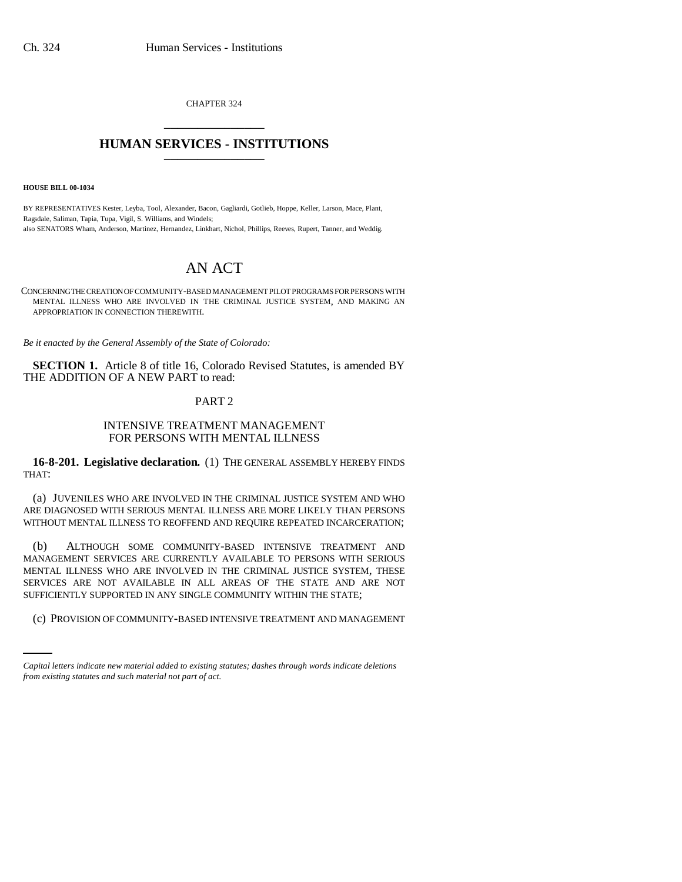CHAPTER 324 \_\_\_\_\_\_\_\_\_\_\_\_\_\_\_

## **HUMAN SERVICES - INSTITUTIONS** \_\_\_\_\_\_\_\_\_\_\_\_\_\_\_

**HOUSE BILL 00-1034** 

BY REPRESENTATIVES Kester, Leyba, Tool, Alexander, Bacon, Gagliardi, Gotlieb, Hoppe, Keller, Larson, Mace, Plant, Ragsdale, Saliman, Tapia, Tupa, Vigil, S. Williams, and Windels; also SENATORS Wham, Anderson, Martinez, Hernandez, Linkhart, Nichol, Phillips, Reeves, Rupert, Tanner, and Weddig.

# AN ACT

CONCERNING THE CREATION OF COMMUNITY-BASED MANAGEMENT PILOT PROGRAMS FOR PERSONS WITH MENTAL ILLNESS WHO ARE INVOLVED IN THE CRIMINAL JUSTICE SYSTEM, AND MAKING AN APPROPRIATION IN CONNECTION THEREWITH.

*Be it enacted by the General Assembly of the State of Colorado:*

**SECTION 1.** Article 8 of title 16, Colorado Revised Statutes, is amended BY THE ADDITION OF A NEW PART to read:

## PART 2

## INTENSIVE TREATMENT MANAGEMENT FOR PERSONS WITH MENTAL ILLNESS

**16-8-201. Legislative declaration.** (1) THE GENERAL ASSEMBLY HEREBY FINDS THAT:

(a) JUVENILES WHO ARE INVOLVED IN THE CRIMINAL JUSTICE SYSTEM AND WHO ARE DIAGNOSED WITH SERIOUS MENTAL ILLNESS ARE MORE LIKELY THAN PERSONS WITHOUT MENTAL ILLNESS TO REOFFEND AND REQUIRE REPEATED INCARCERATION;

SUFFICIENTLY SUPPORTED IN ANY SINGLE COMMUNITY WITHIN THE STATE; (b) ALTHOUGH SOME COMMUNITY-BASED INTENSIVE TREATMENT AND MANAGEMENT SERVICES ARE CURRENTLY AVAILABLE TO PERSONS WITH SERIOUS MENTAL ILLNESS WHO ARE INVOLVED IN THE CRIMINAL JUSTICE SYSTEM, THESE SERVICES ARE NOT AVAILABLE IN ALL AREAS OF THE STATE AND ARE NOT

(c) PROVISION OF COMMUNITY-BASED INTENSIVE TREATMENT AND MANAGEMENT

*Capital letters indicate new material added to existing statutes; dashes through words indicate deletions from existing statutes and such material not part of act.*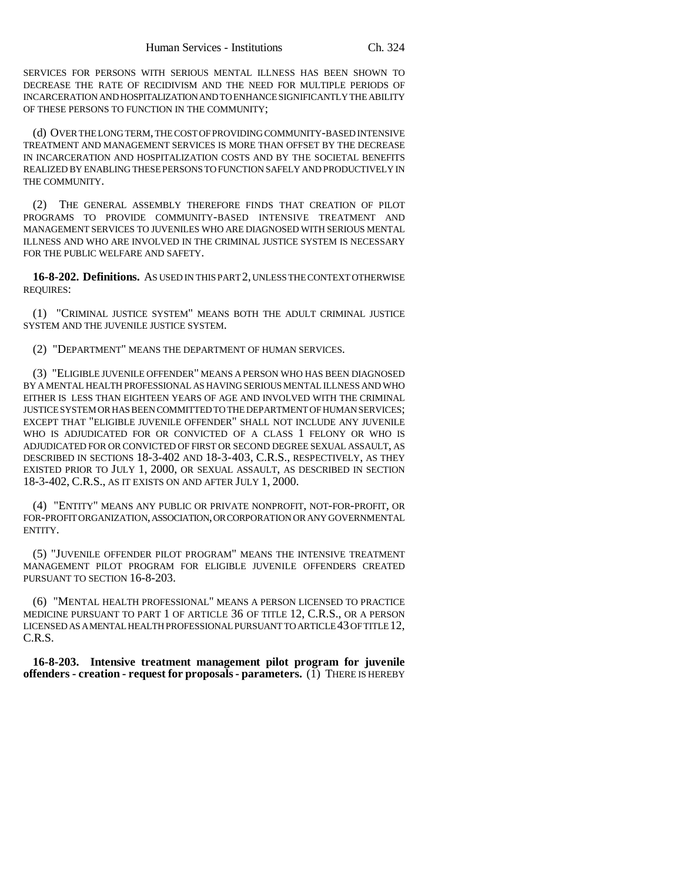SERVICES FOR PERSONS WITH SERIOUS MENTAL ILLNESS HAS BEEN SHOWN TO DECREASE THE RATE OF RECIDIVISM AND THE NEED FOR MULTIPLE PERIODS OF INCARCERATION AND HOSPITALIZATION AND TO ENHANCE SIGNIFICANTLY THE ABILITY OF THESE PERSONS TO FUNCTION IN THE COMMUNITY;

(d) OVER THE LONG TERM, THE COST OF PROVIDING COMMUNITY-BASED INTENSIVE TREATMENT AND MANAGEMENT SERVICES IS MORE THAN OFFSET BY THE DECREASE IN INCARCERATION AND HOSPITALIZATION COSTS AND BY THE SOCIETAL BENEFITS REALIZED BY ENABLING THESE PERSONS TO FUNCTION SAFELY AND PRODUCTIVELY IN THE COMMUNITY.

(2) THE GENERAL ASSEMBLY THEREFORE FINDS THAT CREATION OF PILOT PROGRAMS TO PROVIDE COMMUNITY-BASED INTENSIVE TREATMENT AND MANAGEMENT SERVICES TO JUVENILES WHO ARE DIAGNOSED WITH SERIOUS MENTAL ILLNESS AND WHO ARE INVOLVED IN THE CRIMINAL JUSTICE SYSTEM IS NECESSARY FOR THE PUBLIC WELFARE AND SAFETY.

**16-8-202. Definitions.** AS USED IN THIS PART 2, UNLESS THE CONTEXT OTHERWISE REQUIRES:

(1) "CRIMINAL JUSTICE SYSTEM" MEANS BOTH THE ADULT CRIMINAL JUSTICE SYSTEM AND THE JUVENILE JUSTICE SYSTEM.

(2) "DEPARTMENT" MEANS THE DEPARTMENT OF HUMAN SERVICES.

(3) "ELIGIBLE JUVENILE OFFENDER" MEANS A PERSON WHO HAS BEEN DIAGNOSED BY A MENTAL HEALTH PROFESSIONAL AS HAVING SERIOUS MENTAL ILLNESS AND WHO EITHER IS LESS THAN EIGHTEEN YEARS OF AGE AND INVOLVED WITH THE CRIMINAL JUSTICE SYSTEM OR HAS BEEN COMMITTED TO THE DEPARTMENT OF HUMAN SERVICES; EXCEPT THAT "ELIGIBLE JUVENILE OFFENDER" SHALL NOT INCLUDE ANY JUVENILE WHO IS ADJUDICATED FOR OR CONVICTED OF A CLASS 1 FELONY OR WHO IS ADJUDICATED FOR OR CONVICTED OF FIRST OR SECOND DEGREE SEXUAL ASSAULT, AS DESCRIBED IN SECTIONS 18-3-402 AND 18-3-403, C.R.S., RESPECTIVELY, AS THEY EXISTED PRIOR TO JULY 1, 2000, OR SEXUAL ASSAULT, AS DESCRIBED IN SECTION 18-3-402, C.R.S., AS IT EXISTS ON AND AFTER JULY 1, 2000.

(4) "ENTITY" MEANS ANY PUBLIC OR PRIVATE NONPROFIT, NOT-FOR-PROFIT, OR FOR-PROFIT ORGANIZATION, ASSOCIATION, OR CORPORATION OR ANY GOVERNMENTAL ENTITY.

(5) "JUVENILE OFFENDER PILOT PROGRAM" MEANS THE INTENSIVE TREATMENT MANAGEMENT PILOT PROGRAM FOR ELIGIBLE JUVENILE OFFENDERS CREATED PURSUANT TO SECTION 16-8-203.

(6) "MENTAL HEALTH PROFESSIONAL" MEANS A PERSON LICENSED TO PRACTICE MEDICINE PURSUANT TO PART 1 OF ARTICLE 36 OF TITLE 12, C.R.S., OR A PERSON LICENSED AS A MENTAL HEALTH PROFESSIONAL PURSUANT TO ARTICLE 43 OF TITLE 12, C.R.S.

**16-8-203. Intensive treatment management pilot program for juvenile offenders - creation - request for proposals - parameters.** (1) THERE IS HEREBY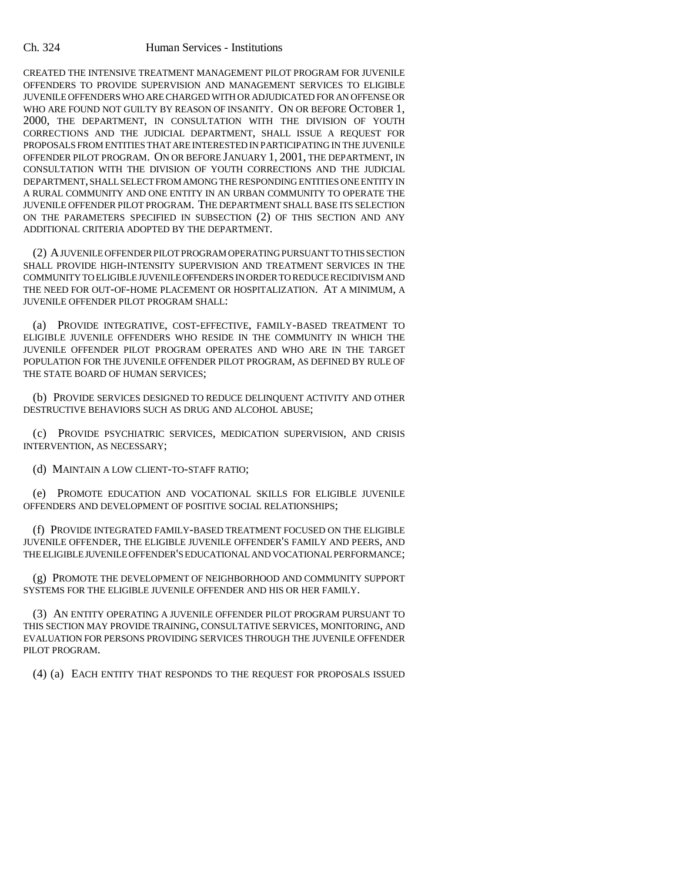#### Ch. 324 Human Services - Institutions

CREATED THE INTENSIVE TREATMENT MANAGEMENT PILOT PROGRAM FOR JUVENILE OFFENDERS TO PROVIDE SUPERVISION AND MANAGEMENT SERVICES TO ELIGIBLE JUVENILE OFFENDERS WHO ARE CHARGED WITH OR ADJUDICATED FOR AN OFFENSE OR WHO ARE FOUND NOT GUILTY BY REASON OF INSANITY. ON OR BEFORE OCTOBER 1, 2000, THE DEPARTMENT, IN CONSULTATION WITH THE DIVISION OF YOUTH CORRECTIONS AND THE JUDICIAL DEPARTMENT, SHALL ISSUE A REQUEST FOR PROPOSALS FROM ENTITIES THAT ARE INTERESTED IN PARTICIPATING IN THE JUVENILE OFFENDER PILOT PROGRAM. ON OR BEFORE JANUARY 1, 2001, THE DEPARTMENT, IN CONSULTATION WITH THE DIVISION OF YOUTH CORRECTIONS AND THE JUDICIAL DEPARTMENT, SHALL SELECT FROM AMONG THE RESPONDING ENTITIES ONE ENTITY IN A RURAL COMMUNITY AND ONE ENTITY IN AN URBAN COMMUNITY TO OPERATE THE JUVENILE OFFENDER PILOT PROGRAM. THE DEPARTMENT SHALL BASE ITS SELECTION ON THE PARAMETERS SPECIFIED IN SUBSECTION (2) OF THIS SECTION AND ANY ADDITIONAL CRITERIA ADOPTED BY THE DEPARTMENT.

(2) A JUVENILE OFFENDER PILOT PROGRAM OPERATING PURSUANT TO THIS SECTION SHALL PROVIDE HIGH-INTENSITY SUPERVISION AND TREATMENT SERVICES IN THE COMMUNITY TO ELIGIBLE JUVENILE OFFENDERS IN ORDER TO REDUCE RECIDIVISM AND THE NEED FOR OUT-OF-HOME PLACEMENT OR HOSPITALIZATION. AT A MINIMUM, A JUVENILE OFFENDER PILOT PROGRAM SHALL:

(a) PROVIDE INTEGRATIVE, COST-EFFECTIVE, FAMILY-BASED TREATMENT TO ELIGIBLE JUVENILE OFFENDERS WHO RESIDE IN THE COMMUNITY IN WHICH THE JUVENILE OFFENDER PILOT PROGRAM OPERATES AND WHO ARE IN THE TARGET POPULATION FOR THE JUVENILE OFFENDER PILOT PROGRAM, AS DEFINED BY RULE OF THE STATE BOARD OF HUMAN SERVICES;

(b) PROVIDE SERVICES DESIGNED TO REDUCE DELINQUENT ACTIVITY AND OTHER DESTRUCTIVE BEHAVIORS SUCH AS DRUG AND ALCOHOL ABUSE;

(c) PROVIDE PSYCHIATRIC SERVICES, MEDICATION SUPERVISION, AND CRISIS INTERVENTION, AS NECESSARY;

(d) MAINTAIN A LOW CLIENT-TO-STAFF RATIO;

(e) PROMOTE EDUCATION AND VOCATIONAL SKILLS FOR ELIGIBLE JUVENILE OFFENDERS AND DEVELOPMENT OF POSITIVE SOCIAL RELATIONSHIPS;

(f) PROVIDE INTEGRATED FAMILY-BASED TREATMENT FOCUSED ON THE ELIGIBLE JUVENILE OFFENDER, THE ELIGIBLE JUVENILE OFFENDER'S FAMILY AND PEERS, AND THE ELIGIBLE JUVENILE OFFENDER'S EDUCATIONAL AND VOCATIONAL PERFORMANCE;

(g) PROMOTE THE DEVELOPMENT OF NEIGHBORHOOD AND COMMUNITY SUPPORT SYSTEMS FOR THE ELIGIBLE JUVENILE OFFENDER AND HIS OR HER FAMILY.

(3) AN ENTITY OPERATING A JUVENILE OFFENDER PILOT PROGRAM PURSUANT TO THIS SECTION MAY PROVIDE TRAINING, CONSULTATIVE SERVICES, MONITORING, AND EVALUATION FOR PERSONS PROVIDING SERVICES THROUGH THE JUVENILE OFFENDER PILOT PROGRAM.

(4) (a) EACH ENTITY THAT RESPONDS TO THE REQUEST FOR PROPOSALS ISSUED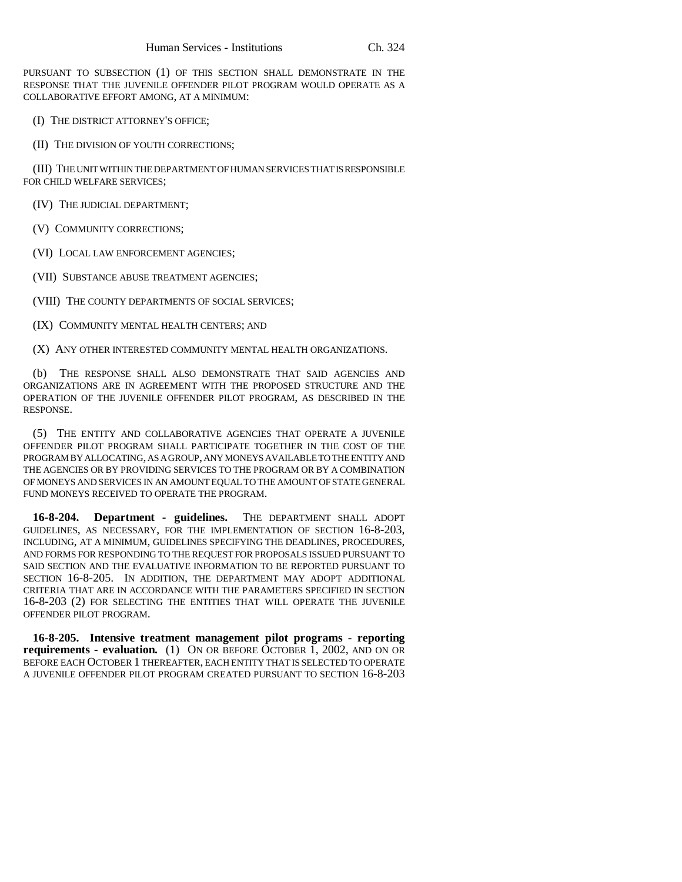PURSUANT TO SUBSECTION (1) OF THIS SECTION SHALL DEMONSTRATE IN THE RESPONSE THAT THE JUVENILE OFFENDER PILOT PROGRAM WOULD OPERATE AS A COLLABORATIVE EFFORT AMONG, AT A MINIMUM:

(I) THE DISTRICT ATTORNEY'S OFFICE;

(II) THE DIVISION OF YOUTH CORRECTIONS;

(III) THE UNIT WITHIN THE DEPARTMENT OF HUMAN SERVICES THAT IS RESPONSIBLE FOR CHILD WELFARE SERVICES;

(IV) THE JUDICIAL DEPARTMENT;

(V) COMMUNITY CORRECTIONS;

(VI) LOCAL LAW ENFORCEMENT AGENCIES;

(VII) SUBSTANCE ABUSE TREATMENT AGENCIES;

(VIII) THE COUNTY DEPARTMENTS OF SOCIAL SERVICES;

(IX) COMMUNITY MENTAL HEALTH CENTERS; AND

(X) ANY OTHER INTERESTED COMMUNITY MENTAL HEALTH ORGANIZATIONS.

THE RESPONSE SHALL ALSO DEMONSTRATE THAT SAID AGENCIES AND ORGANIZATIONS ARE IN AGREEMENT WITH THE PROPOSED STRUCTURE AND THE OPERATION OF THE JUVENILE OFFENDER PILOT PROGRAM, AS DESCRIBED IN THE RESPONSE.

(5) THE ENTITY AND COLLABORATIVE AGENCIES THAT OPERATE A JUVENILE OFFENDER PILOT PROGRAM SHALL PARTICIPATE TOGETHER IN THE COST OF THE PROGRAM BY ALLOCATING, AS A GROUP, ANY MONEYS AVAILABLE TO THE ENTITY AND THE AGENCIES OR BY PROVIDING SERVICES TO THE PROGRAM OR BY A COMBINATION OF MONEYS AND SERVICES IN AN AMOUNT EQUAL TO THE AMOUNT OF STATE GENERAL FUND MONEYS RECEIVED TO OPERATE THE PROGRAM.

**16-8-204. Department - guidelines.** THE DEPARTMENT SHALL ADOPT GUIDELINES, AS NECESSARY, FOR THE IMPLEMENTATION OF SECTION 16-8-203, INCLUDING, AT A MINIMUM, GUIDELINES SPECIFYING THE DEADLINES, PROCEDURES, AND FORMS FOR RESPONDING TO THE REQUEST FOR PROPOSALS ISSUED PURSUANT TO SAID SECTION AND THE EVALUATIVE INFORMATION TO BE REPORTED PURSUANT TO SECTION 16-8-205. IN ADDITION, THE DEPARTMENT MAY ADOPT ADDITIONAL CRITERIA THAT ARE IN ACCORDANCE WITH THE PARAMETERS SPECIFIED IN SECTION 16-8-203 (2) FOR SELECTING THE ENTITIES THAT WILL OPERATE THE JUVENILE OFFENDER PILOT PROGRAM.

**16-8-205. Intensive treatment management pilot programs - reporting requirements - evaluation.** (1) ON OR BEFORE OCTOBER 1, 2002, AND ON OR BEFORE EACH OCTOBER 1 THEREAFTER, EACH ENTITY THAT IS SELECTED TO OPERATE A JUVENILE OFFENDER PILOT PROGRAM CREATED PURSUANT TO SECTION 16-8-203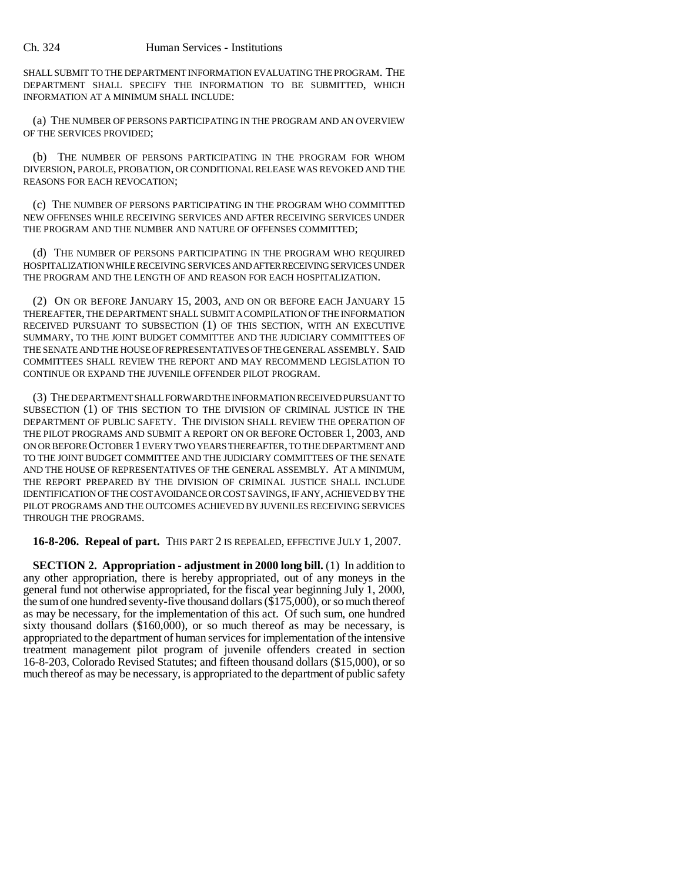#### Ch. 324 Human Services - Institutions

SHALL SUBMIT TO THE DEPARTMENT INFORMATION EVALUATING THE PROGRAM. THE DEPARTMENT SHALL SPECIFY THE INFORMATION TO BE SUBMITTED, WHICH INFORMATION AT A MINIMUM SHALL INCLUDE:

(a) THE NUMBER OF PERSONS PARTICIPATING IN THE PROGRAM AND AN OVERVIEW OF THE SERVICES PROVIDED;

(b) THE NUMBER OF PERSONS PARTICIPATING IN THE PROGRAM FOR WHOM DIVERSION, PAROLE, PROBATION, OR CONDITIONAL RELEASE WAS REVOKED AND THE REASONS FOR EACH REVOCATION;

(c) THE NUMBER OF PERSONS PARTICIPATING IN THE PROGRAM WHO COMMITTED NEW OFFENSES WHILE RECEIVING SERVICES AND AFTER RECEIVING SERVICES UNDER THE PROGRAM AND THE NUMBER AND NATURE OF OFFENSES COMMITTED;

(d) THE NUMBER OF PERSONS PARTICIPATING IN THE PROGRAM WHO REQUIRED HOSPITALIZATION WHILE RECEIVING SERVICES AND AFTER RECEIVING SERVICES UNDER THE PROGRAM AND THE LENGTH OF AND REASON FOR EACH HOSPITALIZATION.

(2) ON OR BEFORE JANUARY 15, 2003, AND ON OR BEFORE EACH JANUARY 15 THEREAFTER, THE DEPARTMENT SHALL SUBMIT A COMPILATION OF THE INFORMATION RECEIVED PURSUANT TO SUBSECTION (1) OF THIS SECTION, WITH AN EXECUTIVE SUMMARY, TO THE JOINT BUDGET COMMITTEE AND THE JUDICIARY COMMITTEES OF THE SENATE AND THE HOUSE OF REPRESENTATIVES OF THE GENERAL ASSEMBLY. SAID COMMITTEES SHALL REVIEW THE REPORT AND MAY RECOMMEND LEGISLATION TO CONTINUE OR EXPAND THE JUVENILE OFFENDER PILOT PROGRAM.

(3) THE DEPARTMENT SHALL FORWARD THE INFORMATION RECEIVED PURSUANT TO SUBSECTION (1) OF THIS SECTION TO THE DIVISION OF CRIMINAL JUSTICE IN THE DEPARTMENT OF PUBLIC SAFETY. THE DIVISION SHALL REVIEW THE OPERATION OF THE PILOT PROGRAMS AND SUBMIT A REPORT ON OR BEFORE OCTOBER 1, 2003, AND ON OR BEFORE OCTOBER 1 EVERY TWO YEARS THEREAFTER, TO THE DEPARTMENT AND TO THE JOINT BUDGET COMMITTEE AND THE JUDICIARY COMMITTEES OF THE SENATE AND THE HOUSE OF REPRESENTATIVES OF THE GENERAL ASSEMBLY. AT A MINIMUM, THE REPORT PREPARED BY THE DIVISION OF CRIMINAL JUSTICE SHALL INCLUDE IDENTIFICATION OF THE COST AVOIDANCE OR COST SAVINGS, IF ANY, ACHIEVED BY THE PILOT PROGRAMS AND THE OUTCOMES ACHIEVED BY JUVENILES RECEIVING SERVICES THROUGH THE PROGRAMS.

**16-8-206. Repeal of part.** THIS PART 2 IS REPEALED, EFFECTIVE JULY 1, 2007.

**SECTION 2. Appropriation - adjustment in 2000 long bill.** (1) In addition to any other appropriation, there is hereby appropriated, out of any moneys in the general fund not otherwise appropriated, for the fiscal year beginning July 1, 2000, the sum of one hundred seventy-five thousand dollars (\$175,000), or so much thereof as may be necessary, for the implementation of this act. Of such sum, one hundred sixty thousand dollars (\$160,000), or so much thereof as may be necessary, is appropriated to the department of human services for implementation of the intensive treatment management pilot program of juvenile offenders created in section 16-8-203, Colorado Revised Statutes; and fifteen thousand dollars (\$15,000), or so much thereof as may be necessary, is appropriated to the department of public safety